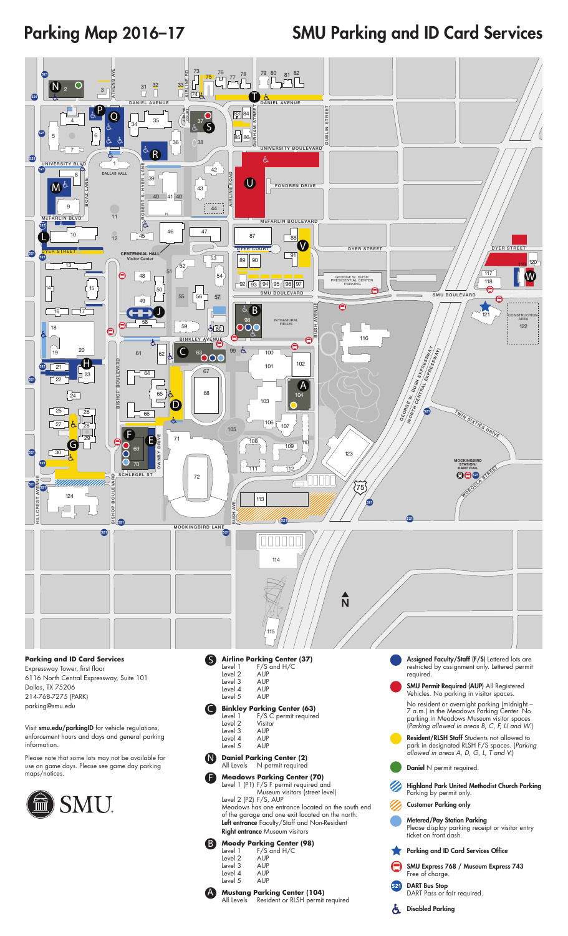Parking Map 2016–17

## SMU Parking and ID Card Services